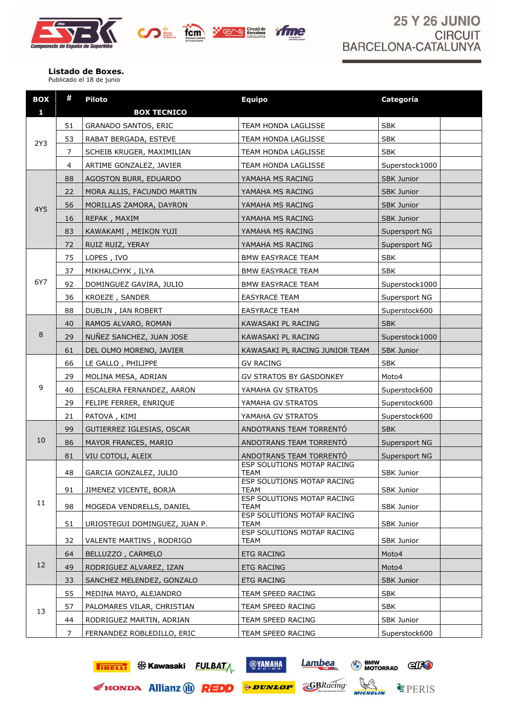





**Listado de Boxes.** Publicado el 18 de junio

| <b>BOX</b>   | #              | <b>Piloto</b>                 | <b>Equipo</b>                      | Categoría         |
|--------------|----------------|-------------------------------|------------------------------------|-------------------|
| $\mathbf{1}$ |                | <b>BOX TECNICO</b>            |                                    |                   |
|              | 51             | <b>GRANADO SANTOS, ERIC</b>   | <b>TEAM HONDA LAGLISSE</b>         | <b>SBK</b>        |
| 2Y3          | 53             | RABAT BERGADA, ESTEVE         | TEAM HONDA LAGLISSE                | <b>SBK</b>        |
|              | $\overline{7}$ | SCHEIB KRUGER, MAXIMILIAN     | TEAM HONDA LAGLISSE                | <b>SBK</b>        |
|              | 4              | ARTIME GONZALEZ, JAVIER       | TEAM HONDA LAGLISSE                | Superstock1000    |
|              | 88             | AGOSTON BURR, EDUARDO         | YAMAHA MS RACING                   | <b>SBK Junior</b> |
|              | 22             | MORA ALLIS, FACUNDO MARTIN    | YAMAHA MS RACING                   | <b>SBK Junior</b> |
| 4Y5          | 56             | MORILLAS ZAMORA, DAYRON       | YAMAHA MS RACING                   | <b>SBK Junior</b> |
|              | 16             | REPAK, MAXIM                  | YAMAHA MS RACING                   | <b>SBK Junior</b> |
|              | 83             | KAWAKAMI, MEIKON YUJI         | YAMAHA MS RACING                   | Supersport NG     |
|              | 72             | RUIZ RUIZ, YERAY              | YAMAHA MS RACING                   | Supersport NG     |
|              | 75             | LOPES, IVO                    | <b>BMW EASYRACE TEAM</b>           | <b>SBK</b>        |
|              | 37             | MIKHALCHYK, ILYA              | <b>BMW EASYRACE TEAM</b>           | <b>SBK</b>        |
| 6Y7          | 92             | DOMINGUEZ GAVIRA, JULIO       | <b>BMW EASYRACE TEAM</b>           | Superstock1000    |
|              | 36             | <b>KROEZE, SANDER</b>         | <b>EASYRACE TEAM</b>               | Supersport NG     |
|              | 88             | DUBLIN, IAN ROBERT            | <b>EASYRACE TEAM</b>               | Superstock600     |
|              | 40             | RAMOS ALVARO, ROMAN           | KAWASAKI PL RACING                 | <b>SBK</b>        |
| 8            | 29             | NUÑEZ SANCHEZ, JUAN JOSE      | KAWASAKI PL RACING                 | Superstock1000    |
|              | 61             | DEL OLMO MORENO, JAVIER       | KAWASAKI PL RACING JUNIOR TEAM     | <b>SBK Junior</b> |
|              | 66             | LE GALLO, PHILIPPE            | <b>GV RACING</b>                   | <b>SBK</b>        |
|              | 29             | MOLINA MESA, ADRIAN           | GV STRATOS BY GASDONKEY            | Moto4             |
| 9            | 40             | ESCALERA FERNANDEZ, AARON     | YAMAHA GV STRATOS                  | Superstock600     |
|              | 29             | FELIPE FERRER, ENRIQUE        | YAMAHA GV STRATOS                  | Superstock600     |
|              | 21             | PATOVA, KIMI                  | YAMAHA GV STRATOS                  | Superstock600     |
|              | 99             | GUTIERREZ IGLESIAS, OSCAR     | ANDOTRANS TEAM TORRENTÓ            | <b>SBK</b>        |
| 10           | 86             | MAYOR FRANCES, MARIO          | ANDOTRANS TEAM TORRENTO            | Supersport NG     |
|              | 81             | VIU COTOLI, ALEIX             | ANDOTRANS TEAM TORRENTÓ            | Supersport NG     |
|              | 48             |                               | ESP SOLUTIONS MOTAP RACING<br>TEAM |                   |
|              |                | GARCIA GONZALEZ, JULIO        | ESP SOLUTIONS MOTAP RACING         | SBK Junior        |
|              | 91             | JIMENEZ VICENTE, BORJA        | TEAM<br>ESP SOLUTIONS MOTAP RACING | SBK Junior        |
| 11           | 98             | MOGEDA VENDRELLS, DANIEL      | TEAM                               | <b>SBK Junior</b> |
|              | 51             | URIOSTEGUI DOMINGUEZ, JUAN P. | ESP SOLUTIONS MOTAP RACING<br>TEAM | SBK Junior        |
|              |                |                               | ESP SOLUTIONS MOTAP RACING         |                   |
|              | 32             | VALENTE MARTINS, RODRIGO      | TEAM                               | <b>SBK Junior</b> |
|              | 64             | BELLUZZO, CARMELO             | <b>ETG RACING</b>                  | Moto4             |
| 12           | 49             | RODRIGUEZ ALVAREZ, IZAN       | <b>ETG RACING</b>                  | Moto4             |
|              | 33             | SANCHEZ MELENDEZ, GONZALO     | <b>ETG RACING</b>                  | <b>SBK Junior</b> |
|              | 55             | MEDINA MAYO, ALEJANDRO        | TEAM SPEED RACING                  | <b>SBK</b>        |
| 13           | 57             | PALOMARES VILAR, CHRISTIAN    | TEAM SPEED RACING                  | <b>SBK</b>        |
|              | 44             | RODRIGUEZ MARTIN, ADRIAN      | TEAM SPEED RACING                  | SBK Junior        |
|              | 7              | FERNANDEZ ROBLEDILLO, ERIC    | TEAM SPEED RACING                  | Superstock600     |



EHONDA Allianz (1) REDD

**OVAMAHA** 

**ODUNLOP** 



MICHELIN

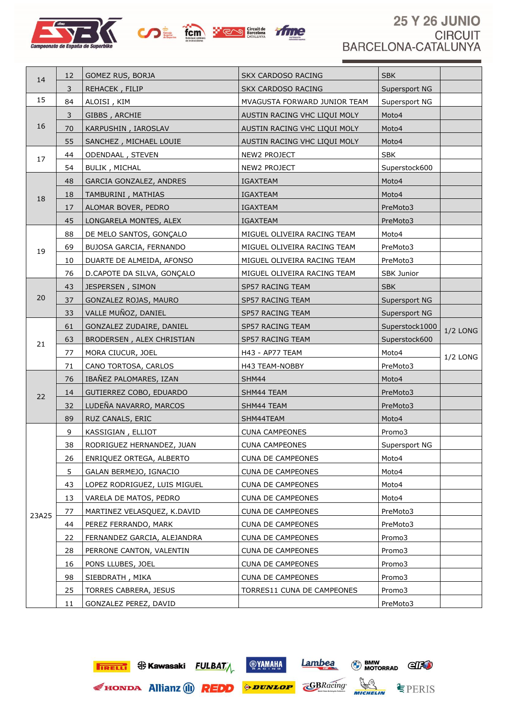





## **25 Y 26 JUNIO CIRCUIT** BARCELONA-CATALUNYA

| 14    | 12 | GOMEZ RUS, BORJA               | <b>SKX CARDOSO RACING</b>    | <b>SBK</b>        |          |
|-------|----|--------------------------------|------------------------------|-------------------|----------|
|       | 3  | REHACEK, FILIP                 | <b>SKX CARDOSO RACING</b>    | Supersport NG     |          |
| 15    | 84 | ALOISI, KIM                    | MVAGUSTA FORWARD JUNIOR TEAM | Supersport NG     |          |
|       | 3  | GIBBS, ARCHIE                  | AUSTIN RACING VHC LIQUI MOLY | Moto4             |          |
| 16    | 70 | KARPUSHIN, IAROSLAV            | AUSTIN RACING VHC LIQUI MOLY | Moto4             |          |
|       | 55 | SANCHEZ, MICHAEL LOUIE         | AUSTIN RACING VHC LIQUI MOLY | Moto4             |          |
| 17    | 44 | ODENDAAL, STEVEN               | NEW2 PROJECT                 | <b>SBK</b>        |          |
|       | 54 | <b>BULIK, MICHAL</b>           | NEW2 PROJECT                 | Superstock600     |          |
|       | 48 | <b>GARCIA GONZALEZ, ANDRES</b> | <b>IGAXTEAM</b>              | Moto4             |          |
| 18    | 18 | TAMBURINI, MATHIAS             | <b>IGAXTEAM</b>              | Moto4             |          |
|       | 17 | ALOMAR BOVER, PEDRO            | IGAXTEAM                     | PreMoto3          |          |
|       | 45 | LONGARELA MONTES, ALEX         | IGAXTEAM                     | PreMoto3          |          |
|       | 88 | DE MELO SANTOS, GONÇALO        | MIGUEL OLIVEIRA RACING TEAM  | Moto4             |          |
| 19    | 69 | BUJOSA GARCIA, FERNANDO        | MIGUEL OLIVEIRA RACING TEAM  | PreMoto3          |          |
|       | 10 | DUARTE DE ALMEIDA, AFONSO      | MIGUEL OLIVEIRA RACING TEAM  | PreMoto3          |          |
|       | 76 | D.CAPOTE DA SILVA, GONÇALO     | MIGUEL OLIVEIRA RACING TEAM  | <b>SBK Junior</b> |          |
|       | 43 | JESPERSEN, SIMON               | SP57 RACING TEAM             | <b>SBK</b>        |          |
| 20    | 37 | GONZALEZ ROJAS, MAURO          | SP57 RACING TEAM             | Supersport NG     |          |
|       | 33 | VALLE MUÑOZ, DANIEL            | SP57 RACING TEAM             | Supersport NG     |          |
|       | 61 | GONZALEZ ZUDAIRE, DANIEL       | SP57 RACING TEAM             | Superstock1000    | 1/2 LONG |
| 21    | 63 | BRODERSEN, ALEX CHRISTIAN      | SP57 RACING TEAM             | Superstock600     |          |
|       | 77 | MORA CIUCUR, JOEL              | H43 - AP77 TEAM              | Moto4             | 1/2 LONG |
|       | 71 | CANO TORTOSA, CARLOS           | H43 TEAM-NOBBY               | PreMoto3          |          |
|       | 76 | IBAÑEZ PALOMARES, IZAN         | SHM44                        | Moto4             |          |
| 22    | 14 | GUTIERREZ COBO, EDUARDO        | SHM44 TEAM                   | PreMoto3          |          |
|       | 32 | LUDEÑA NAVARRO, MARCOS         | SHM44 TEAM                   | PreMoto3          |          |
|       | 89 | RUZ CANALS, ERIC               | SHM44TEAM                    | Moto4             |          |
|       | 9  | KASSIGIAN, ELLIOT              | <b>CUNA CAMPEONES</b>        | Promo3            |          |
|       | 38 | RODRIGUEZ HERNANDEZ, JUAN      | <b>CUNA CAMPEONES</b>        | Supersport NG     |          |
|       | 26 | ENRIQUEZ ORTEGA, ALBERTO       | <b>CUNA DE CAMPEONES</b>     | Moto4             |          |
|       | 5  | GALAN BERMEJO, IGNACIO         | <b>CUNA DE CAMPEONES</b>     | Moto4             |          |
|       | 43 | LOPEZ RODRIGUEZ, LUIS MIGUEL   | <b>CUNA DE CAMPEONES</b>     | Moto4             |          |
|       | 13 | VARELA DE MATOS, PEDRO         | <b>CUNA DE CAMPEONES</b>     | Moto4             |          |
| 23A25 | 77 | MARTINEZ VELASQUEZ, K.DAVID    | <b>CUNA DE CAMPEONES</b>     | PreMoto3          |          |
|       | 44 | PEREZ FERRANDO, MARK           | <b>CUNA DE CAMPEONES</b>     | PreMoto3          |          |
|       | 22 | FERNANDEZ GARCIA, ALEJANDRA    | <b>CUNA DE CAMPEONES</b>     | Promo3            |          |
|       | 28 | PERRONE CANTON, VALENTIN       | <b>CUNA DE CAMPEONES</b>     | Promo3            |          |
|       | 16 | PONS LLUBES, JOEL              | <b>CUNA DE CAMPEONES</b>     | Promo3            |          |
|       | 98 | SIEBDRATH, MIKA                | <b>CUNA DE CAMPEONES</b>     | Promo3            |          |
|       | 25 | <b>TORRES CABRERA, JESUS</b>   | TORRES11 CUNA DE CAMPEONES   | Promo3            |          |
|       | 11 | GONZALEZ PEREZ, DAVID          |                              | PreMoto3          |          |

**FIRELLE S** Kawasaki FULBAT

**OVAMAHA** 



Lambea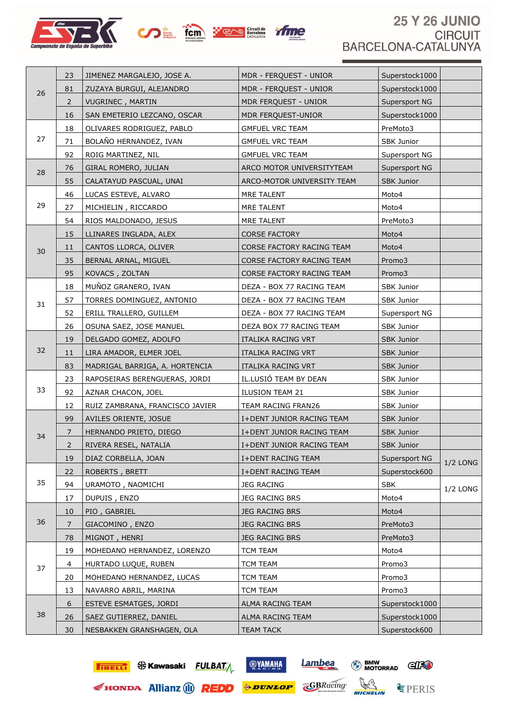





## **25 Y 26 JUNIO CIRCUIT** BARCELONA-CATALUNYA

| 26 | 23             | JIMENEZ MARGALEJO, JOSE A.      | MDR - FERQUEST - UNIOR     | Superstock1000    |            |
|----|----------------|---------------------------------|----------------------------|-------------------|------------|
|    | 81             | ZUZAYA BURGUI, ALEJANDRO        | MDR - FERQUEST - UNIOR     | Superstock1000    |            |
|    | $\overline{2}$ | <b>VUGRINEC, MARTIN</b>         | MDR FERQUEST - UNIOR       | Supersport NG     |            |
|    | 16             | SAN EMETERIO LEZCANO, OSCAR     | MDR FERQUEST-UNIOR         | Superstock1000    |            |
| 27 | 18             | OLIVARES RODRIGUEZ, PABLO       | <b>GMFUEL VRC TEAM</b>     | PreMoto3          |            |
|    | 71             | BOLAÑO HERNANDEZ, IVAN          | <b>GMFUEL VRC TEAM</b>     | SBK Junior        |            |
|    | 92             | ROIG MARTINEZ, NIL              | <b>GMFUEL VRC TEAM</b>     | Supersport NG     |            |
|    | 76             | GIRAL ROMERO, JULIAN            | ARCO MOTOR UNIVERSITYTEAM  | Supersport NG     |            |
| 28 | 55             | CALATAYUD PASCUAL, UNAI         | ARCO-MOTOR UNIVERSITY TEAM | SBK Junior        |            |
|    | 46             | LUCAS ESTEVE, ALVARO            | MRE TALENT                 | Moto4             |            |
| 29 | 27             | MICHIELIN, RICCARDO             | MRE TALENT                 | Moto4             |            |
|    | 54             | RIOS MALDONADO, JESUS           | MRE TALENT                 | PreMoto3          |            |
|    | 15             | LLINARES INGLADA, ALEX          | <b>CORSE FACTORY</b>       | Moto4             |            |
| 30 | 11             | CANTOS LLORCA, OLIVER           | CORSE FACTORY RACING TEAM  | Moto4             |            |
|    | 35             | BERNAL ARNAL, MIGUEL            | CORSE FACTORY RACING TEAM  | Promo3            |            |
|    | 95             | KOVACS, ZOLTAN                  | CORSE FACTORY RACING TEAM  | Promo3            |            |
|    | 18             | MUÑOZ GRANERO, IVAN             | DEZA - BOX 77 RACING TEAM  | <b>SBK Junior</b> |            |
| 31 | 57             | TORRES DOMINGUEZ, ANTONIO       | DEZA - BOX 77 RACING TEAM  | <b>SBK Junior</b> |            |
|    | 52             | ERILL TRALLERO, GUILLEM         | DEZA - BOX 77 RACING TEAM  | Supersport NG     |            |
|    | 26             | OSUNA SAEZ, JOSE MANUEL         | DEZA BOX 77 RACING TEAM    | <b>SBK Junior</b> |            |
|    | 19             | DELGADO GOMEZ, ADOLFO           | ITALIKA RACING VRT         | <b>SBK Junior</b> |            |
| 32 | 11             | LIRA AMADOR, ELMER JOEL         | ITALIKA RACING VRT         | <b>SBK Junior</b> |            |
|    | 83             | MADRIGAL BARRIGA, A. HORTENCIA  | ITALIKA RACING VRT         | <b>SBK Junior</b> |            |
|    | 23             | RAPOSEIRAS BERENGUERAS, JORDI   | IL.LUSIÓ TEAM BY DEAN      | SBK Junior        |            |
| 33 | 92             | AZNAR CHACON, JOEL              | <b>ILUSION TEAM 21</b>     | SBK Junior        |            |
|    | 12             | RUIZ ZAMBRANA, FRANCISCO JAVIER | TEAM RACING FRAN26         | SBK Junior        |            |
|    | 99             | AVILES ORIENTE, JOSUE           | I+DENT JUNIOR RACING TEAM  | <b>SBK Junior</b> |            |
| 34 | 7              | HERNANDO PRIETO, DIEGO          | I+DENT JUNIOR RACING TEAM  | <b>SBK Junior</b> |            |
|    | $\overline{2}$ | RIVERA RESEL, NATALIA           | I+DENT JUNIOR RACING TEAM  | <b>SBK Junior</b> |            |
|    | 19             | DIAZ CORBELLA, JOAN             | I+DENT RACING TEAM         | Supersport NG     | $1/2$ LONG |
|    | 22             | ROBERTS, BRETT                  | I+DENT RACING TEAM         | Superstock600     |            |
| 35 | 94             | URAMOTO, NAOMICHI               | <b>JEG RACING</b>          | <b>SBK</b>        | $1/2$ LONG |
|    | 17             | DUPUIS, ENZO                    | JEG RACING BRS             | Moto4             |            |
|    | 10             | PIO, GABRIEL                    | <b>JEG RACING BRS</b>      | Moto4             |            |
| 36 | 7              | GIACOMINO, ENZO                 | <b>JEG RACING BRS</b>      | PreMoto3          |            |
|    | 78             | MIGNOT, HENRI                   | JEG RACING BRS             | PreMoto3          |            |
|    | 19             | MOHEDANO HERNANDEZ, LORENZO     | <b>TCM TEAM</b>            | Moto4             |            |
| 37 | 4              | HURTADO LUQUE, RUBEN            | <b>TCM TEAM</b>            | Promo3            |            |
|    | 20             | MOHEDANO HERNANDEZ, LUCAS       | TCM TEAM                   | Promo3            |            |
|    | 13             | NAVARRO ABRIL, MARINA           | <b>TCM TEAM</b>            | Promo3            |            |
| 38 | 6              | <b>ESTEVE ESMATGES, JORDI</b>   | ALMA RACING TEAM           | Superstock1000    |            |
|    | 26             | SAEZ GUTIERREZ, DANIEL          | ALMA RACING TEAM           | Superstock1000    |            |
|    | 30             | NESBAKKEN GRANSHAGEN, OLA       | <b>TEAM TACK</b>           | Superstock600     |            |



**OVAMAHA** 



**€PERIS** 

Lambea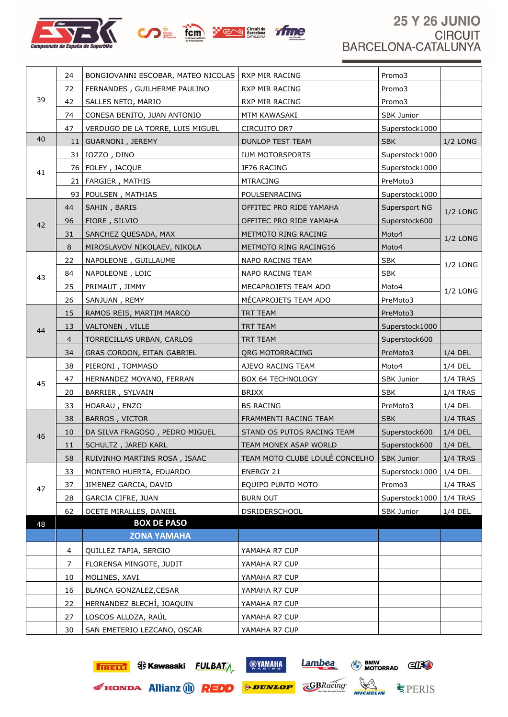





## **25 Y 26 JUNIO CIRCUIT** BARCELONA-CATALUNYA

|                                  | 24             | BONGIOVANNI ESCOBAR, MATEO NICOLAS   RXP MIR RACING |                                | Promo3                  |            |
|----------------------------------|----------------|-----------------------------------------------------|--------------------------------|-------------------------|------------|
|                                  | 72             | FERNANDES, GUILHERME PAULINO                        | RXP MIR RACING                 | Promo3                  |            |
| 39                               | 42             | SALLES NETO, MARIO                                  | RXP MIR RACING                 | Promo3                  |            |
|                                  | 74             | CONESA BENITO, JUAN ANTONIO                         | MTM KAWASAKI                   | SBK Junior              |            |
|                                  | 47             | VERDUGO DE LA TORRE, LUIS MIGUEL                    | CIRCUITO DR7                   | Superstock1000          |            |
| 40                               |                | 11   GUARNONI, JEREMY                               | <b>DUNLOP TEST TEAM</b>        | <b>SBK</b>              | $1/2$ LONG |
|                                  |                | 31   IOZZO, DINO                                    | IUM MOTORSPORTS                | Superstock1000          |            |
|                                  |                | 76 FOLEY, JACQUE                                    | JF76 RACING                    | Superstock1000          |            |
|                                  |                | 21   FARGIER, MATHIS                                | <b>MTRACING</b>                | PreMoto3                |            |
|                                  |                | 93   POULSEN, MATHIAS                               | POULSENRACING                  | Superstock1000          |            |
|                                  | 44             | SAHIN, BARIS                                        | OFFITEC PRO RIDE YAMAHA        | Supersport NG           | 1/2 LONG   |
|                                  | 96             | FIORE, SILVIO                                       | OFFITEC PRO RIDE YAMAHA        | Superstock600           |            |
|                                  | 31             | SANCHEZ QUESADA, MAX                                | METMOTO RING RACING            | Moto4                   | 1/2 LONG   |
|                                  | 8              | MIROSLAVOV NIKOLAEV, NIKOLA                         | METMOTO RING RACING16          | Moto4                   |            |
| 41<br>42<br>43<br>44<br>45<br>46 | 22             | NAPOLEONE, GUILLAUME                                | NAPO RACING TEAM               | <b>SBK</b>              | 1/2 LONG   |
|                                  | 84             | NAPOLEONE, LOIC                                     | NAPO RACING TEAM               | <b>SBK</b>              |            |
|                                  | 25             | PRIMAUT, JIMMY                                      | MECAPROJETS TEAM ADO           | Moto4                   | $1/2$ LONG |
|                                  | 26             | SANJUAN, REMY                                       | MÉCAPROJETS TEAM ADO           | PreMoto3                |            |
|                                  | 15             | RAMOS REIS, MARTIM MARCO                            | TRT TEAM                       | PreMoto3                |            |
|                                  | 13             | VALTONEN, VILLE                                     | TRT TEAM                       | Superstock1000          |            |
|                                  | $\overline{4}$ | TORRECILLAS URBAN, CARLOS                           | TRT TEAM                       | Superstock600           |            |
|                                  | 34             | GRAS CORDON, EITAN GABRIEL                          | <b>QRG MOTORRACING</b>         | PreMoto3                | 1/4 DEL    |
|                                  | 38             | PIERONI, TOMMASO                                    | AJEVO RACING TEAM              | Moto4                   | 1/4 DEL    |
|                                  | 47             | HERNANDEZ MOYANO, FERRAN                            | <b>BOX 64 TECHNOLOGY</b>       | SBK Junior              | 1/4 TRAS   |
|                                  | 20             | BARRIER, SYLVAIN                                    | <b>BRIXX</b>                   | <b>SBK</b>              | $1/4$ TRAS |
|                                  | 33             | HOARAU, ENZO                                        | <b>BS RACING</b>               | PreMoto3                | 1/4 DEL    |
|                                  | 38             | <b>BARROS, VICTOR</b>                               | FRAMMENTI RACING TEAM          | <b>SBK</b>              | $1/4$ TRAS |
|                                  | 10             | DA SILVA FRAGOSO, PEDRO MIGUEL                      | STAND OS PUTOS RACING TEAM     | Superstock600           | 1/4 DEL    |
|                                  | 11             | SCHULTZ, JARED KARL                                 | TEAM MONEX ASAP WORLD          | Superstock600   1/4 DEL |            |
|                                  | 58             | RUIVINHO MARTINS ROSA, ISAAC                        | TEAM MOTO CLUBE LOULÉ CONCELHO | <b>SBK Junior</b>       | $1/4$ TRAS |
|                                  | 33             | MONTERO HUERTA, EDUARDO                             | <b>ENERGY 21</b>               | Superstock1000          | 1/4 DEL    |
| 47                               | 37             | JIMENEZ GARCIA, DAVID                               | EQUIPO PUNTO MOTO              | Promo3                  | 1/4 TRAS   |
|                                  | 28             | <b>GARCIA CIFRE, JUAN</b>                           | <b>BURN OUT</b>                | Superstock1000          | $1/4$ TRAS |
|                                  | 62             | OCETE MIRALLES, DANIEL                              | <b>DSRIDERSCHOOL</b>           | SBK Junior              | 1/4 DEL    |
| 48                               |                | <b>BOX DE PASO</b>                                  |                                |                         |            |
|                                  |                | <b>ZONA YAMAHA</b>                                  |                                |                         |            |
|                                  | 4              | QUILLEZ TAPIA, SERGIO                               | YAMAHA R7 CUP                  |                         |            |
|                                  | 7              | FLORENSA MINGOTE, JUDIT                             | YAMAHA R7 CUP                  |                         |            |
|                                  | 10             | MOLINES, XAVI                                       | YAMAHA R7 CUP                  |                         |            |
|                                  | 16             | BLANCA GONZALEZ, CESAR                              | YAMAHA R7 CUP                  |                         |            |
|                                  | 22             | HERNANDEZ BLECHÍ, JOAQUIN                           | YAMAHA R7 CUP                  |                         |            |
|                                  | 27             | LOSCOS ALLOZA, RAÚL                                 | YAMAHA R7 CUP                  |                         |            |
|                                  | 30             | SAN EMETERIO LEZCANO, OSCAR                         | YAMAHA R7 CUP                  |                         |            |



**OVAMAHA**